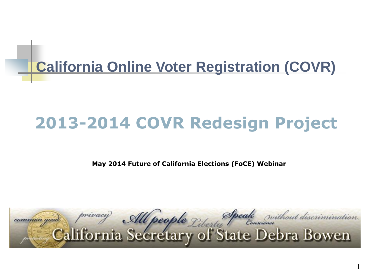#### **California Online Voter Registration (COVR)**

# **2013-2014 COVR Redesign Project**

**May 2014 Future of California Elections (FoCE) Webinar**

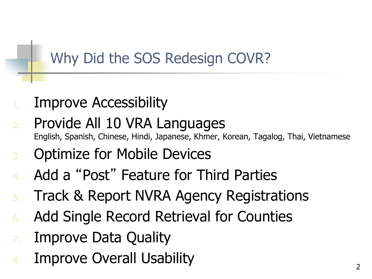## Why Did the SOS Redesign COVR?

- Improve Accessibility
- 2. Provide All 10 VRA Languages English, Spanish, Chinese, Hindi, Japanese, Khmer, Korean, Tagalog, Thai, Vietnamese
- 3. Optimize for Mobile Devices
- Add a "Post" Feature for Third Parties
- 5. Track & Report NVRA Agency Registrations
- 6. Add Single Record Retrieval for Counties
- 7. Improve Data Quality
- 8. Improve Overall Usability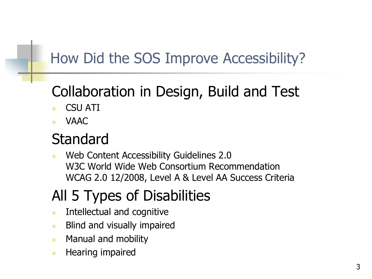## How Did the SOS Improve Accessibility?

# Collaboration in Design, Build and Test

- CSU ATI
- VAAC

## Standard

 Web Content Accessibility Guidelines 2.0 W3C World Wide Web Consortium Recommendation WCAG 2.0 12/2008, Level A & Level AA Success Criteria

# All 5 Types of Disabilities

- **Intellectual and cognitive**
- **Blind and visually impaired**
- **Manual and mobility**
- **Hearing impaired**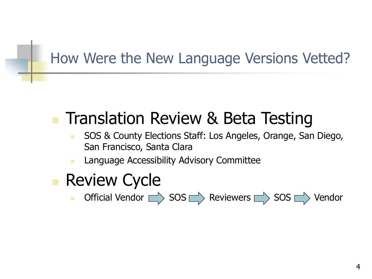#### How Were the New Language Versions Vetted?

# **Translation Review & Beta Testing**

- **SOS & County Elections Staff: Los Angeles, Orange, San Diego,** San Francisco, Santa Clara
- **Language Accessibility Advisory Committee**

### Review Cycle

**Official Vendor**  $\Box$  **SOS**  $\Box$  **Reviewers**  $\Box$  **SOS**  $\Box$  **Vendor**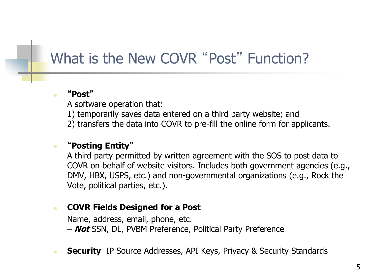#### What is the New COVR "Post" Function?

#### L. "**Post**"

A software operation that:

- 1) temporarily saves data entered on a third party website; and
- 2) transfers the data into COVR to pre-fill the online form for applicants.

#### ٠ "**Posting Entity**"

A third party permitted by written agreement with the SOS to post data to COVR on behalf of website visitors. Includes both government agencies (e.g., DMV, HBX, USPS, etc.) and non-governmental organizations (e.g., Rock the Vote, political parties, etc.).

#### **COVR Fields Designed for a Post**

Name, address, email, phone, etc.

- **Not** SSN, DL, PVBM Preference, Political Party Preference
- **Security** IP Source Addresses, API Keys, Privacy & Security Standards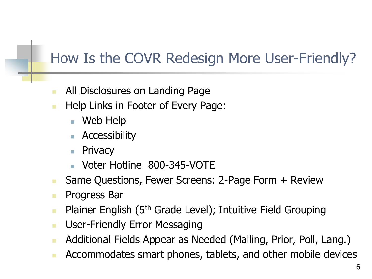#### How Is the COVR Redesign More User-Friendly?

- All Disclosures on Landing Page
- **Help Links in Footer of Every Page:** 
	- Web Help
	- **Accessibility**
	- **Privacy**
	- Voter Hotline 800-345-VOTE
- **Same Questions, Fewer Screens: 2-Page Form + Review**
- **Progress Bar**
- **Plainer English (5<sup>th</sup> Grade Level); Intuitive Field Grouping**
- **User-Friendly Error Messaging**
- **Additional Fields Appear as Needed (Mailing, Prior, Poll, Lang.)**
- **Accommodates smart phones, tablets, and other mobile devices**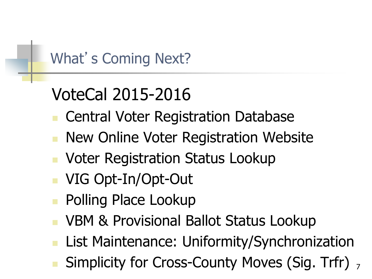#### What's Coming Next?

# VoteCal 2015-2016

- Central Voter Registration Database
- New Online Voter Registration Website
- **Noter Registration Status Lookup**
- VIG Opt-In/Opt-Out
- Polling Place Lookup
- VBM & Provisional Ballot Status Lookup
- List Maintenance: Uniformity/Synchronization
- Simplicity for Cross-County Moves (Sig. Trfr)  $_7$